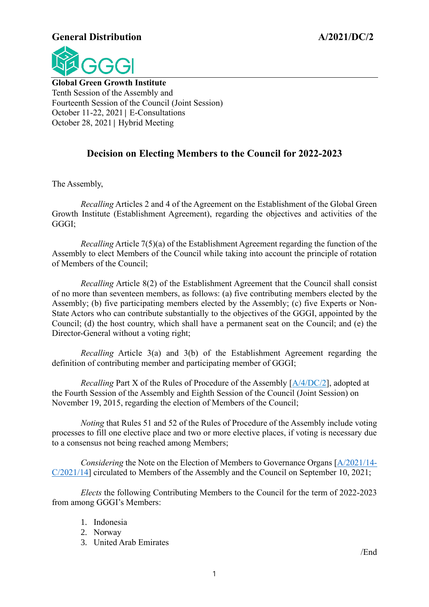#### **General Distribution A/2021/DC/2**



**Global Green Growth Institute** Tenth Session of the Assembly and Fourteenth Session of the Council (Joint Session) October 11-22, 2021│ E-Consultations October 28, 2021│ Hybrid Meeting

### **Decision on Electing Members to the Council for 2022-2023**

The Assembly,

*Recalling* Articles 2 and 4 of the Agreement on the Establishment of the Global Green Growth Institute (Establishment Agreement), regarding the objectives and activities of the GGGI;

*Recalling* Article 7(5)(a) of the Establishment Agreement regarding the function of the Assembly to elect Members of the Council while taking into account the principle of rotation of Members of the Council;

*Recalling* Article 8(2) of the Establishment Agreement that the Council shall consist of no more than seventeen members, as follows: (a) five contributing members elected by the Assembly; (b) five participating members elected by the Assembly; (c) five Experts or Non-State Actors who can contribute substantially to the objectives of the GGGI, appointed by the Council; (d) the host country, which shall have a permanent seat on the Council; and (e) the Director-General without a voting right;

*Recalling* Article 3(a) and 3(b) of the Establishment Agreement regarding the definition of contributing member and participating member of GGGI;

*Recalling* Part X of the Rules of Procedure of the Assembly [\[A/4/DC/2\]](https://gggi.org/site/assets/uploads/2017/10/A.4.DC_.2_Decision-on-the-Revision-of-the-Rules-of-Procedure-of-the-Assembly_Final.pdf), adopted at the Fourth Session of the Assembly and Eighth Session of the Council (Joint Session) on November 19, 2015, regarding the election of Members of the Council;

*Noting* that Rules 51 and 52 of the Rules of Procedure of the Assembly include voting processes to fill one elective place and two or more elective places, if voting is necessary due to a consensus not being reached among Members;

*Considering* the Note on the Election of Members to Governance Organs [\[A/2021/14-](https://gggi.org/site/assets/uploads/2021/09/Agenda-7.-Election-of-Members-to-Governance-Organs.pdf) [C/2021/14\]](https://gggi.org/site/assets/uploads/2021/09/Agenda-7.-Election-of-Members-to-Governance-Organs.pdf) circulated to Members of the Assembly and the Council on September 10, 2021;

*Elects* the following Contributing Members to the Council for the term of 2022-2023 from among GGGI's Members:

- 1. Indonesia
- 2. Norway
- 3. United Arab Emirates